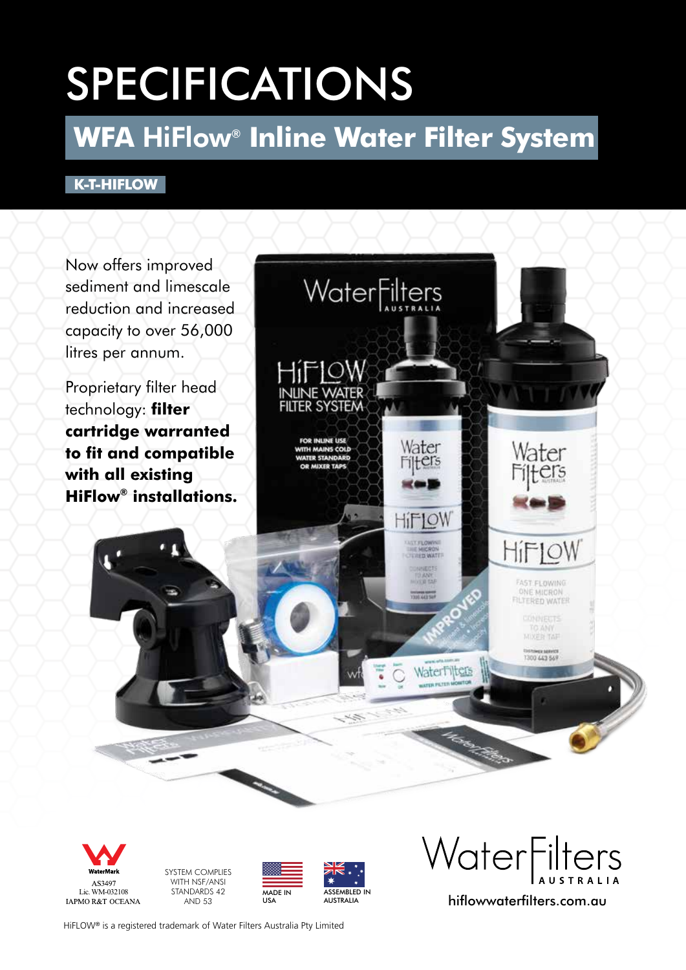# SPECIFICATIONS

# **WFA** HiFlow® **Inline Water Filter System**

## **K-T-HIFLOW**





SYSTEM COMPLIES WITH NSF/ANSI STANDARDS 42 AND 53



USA

WARE SYSTEM COMPLIES<br>
AS3497 WITH NSF/ANSI<br>
Lic. WM-032108 STANDARDS 42<br>
LAPMOR&T OCEANA AND 53<br>
LAPMOR&T OCEANA AND 53<br>
LAPMOR&T OCEANA AND 53

HiFLOW® is a registered trademark of Water Filters Australia Pty Limited